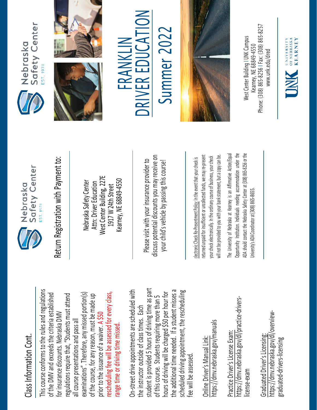## Class Information Cont. Class Information Cont.

This course conforms to the rules and regulations This course conforms to the rules and regulations rescheduling fee will be assessed for every class, examinations". Therefore, any missed portion(s) of the DMV and exceeds the criteria established regulations require that, "Students must attend rescheduling fee will be assessed for every class, of the DMV and exceeds the criteria established examinations". Therefore, any missed portion(s) of the course, for any reason, must be made up regulations require that, "Students must attend of the course, for any reason, must be made up for insurance discounts. Nebraska DMV for insurance discounts. Nebraska DMV prior to the issuance of a waiver. A \$50 all course presentations and pass all all course presentations and pass all range time or driving time missed. range time or driving time missed. prior to the issuance of a waiver.

student is provided 5 hours of driving time as part On-street drive appointments are scheduled with student is provided 5 hours of driving time as part the additional time needed. If a student misses a scheduled driving appointment, the rescheduling the additional time needed. If a student misses a On-street drive appointments are scheduled with hours of driving will be charged \$50 per hour for scheduled driving appointment, the rescheduling hours of driving will be charged \$50 per hour for of this course. Students requiring more than 5 of this course. Students requiring more than 5 the instructor outside of class times. Each the instructor outside of class times. Each fee will be assessed. fee will be assessed

https://dmv.nebraska.gov/manuals https://dmv.nebraska.gov/manuals Online Driver's Manual Link: Online Driver's Manual Link:

https://dmv.nebraska.gov/dl/practice-drivershttps://dmv.nebraska.gov/dl/practice-drivers-Practice Driver's License Exam: Practice Driver's License Exam: license-exam icense-exam

https://dmv.nebraska.gov/dl/overviewhttps://dmv.nebraska.gov/dl/overview-Graduated Driver's Licensing: Graduated Driver's Licensing: graduated-drivers-licensing graduated-drivers-licensing



Nebraska Safety Center Attn: Driver Education West Center Building, 227E 1917 W 24th Street Kearney, NE 68849-4550

Please visit with your insurance provider to discuss potential discounts you may receive on potential discounts you may receive on your child's vehicle by passing this course! Return Registration with Payment to:<br>
Nebraska Safety Center<br>
Attn: Driver Education<br>
1917 W 24th Street<br>
Rearney, NE 68849-4550<br>
Rease visit with your insurance provider to<br>
Please visit with your insurance provider to<br>
y

returned unpaid for insufficient or uncollected funds, we may re-present a copy can be. returned unpaid for insufficient or uncollected funds, we may re-present will not be provided to you with your bank statement, but a copy can be. your check electronically. In the ordinary course of business, your check your check electronically. In the ordinary course of business, your check will not be provided to you with your bank statement, but

The University of Nebraska at Kearney is an Affirmative Action/Equal The University of Nebraska at Kearney is an Affirmative Action/Equal Opportunity Institution. Individuals needing accommodation under the ADA should contact the Nebraska Safety Center at (308) 865-8256 or the Opportunity Institution. Individuals needing accommodation under the ADA should contact the Nebraska Safety Center at (308) 865-8256 or the Jniversity's ADA Coordinator at (308) 865-8655. University's ADA Coordinator at (308) 86







 $\sum_{i=1}^{n}$ Summer 2022 Summer 202 FRANKLIN R EDUCA FRANKLIN E RIV **NC** 



Phone: (308) 865-8256 | Fax: (308) 865-8257 West Center Building I UNK Campus Nest Center Building I UNK Campus -8256 I Fax: (308) 865 Kearney, NE 68849-4550 www.unk.edu/dred [www.unk.edu/dred](http://www.unk.edu/dred) Kearney, NE 68849 Phone: (308) 865

UNIVERSITY<br>
OF NEBRASKA<br>
KFARNEY

**KEARNEY**